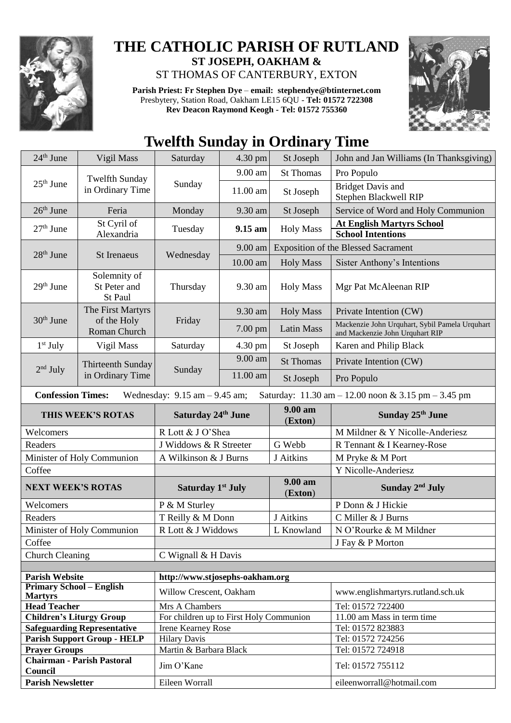

## **THE CATHOLIC PARISH OF RUTLAND ST JOSEPH, OAKHAM &**  ST THOMAS OF CANTERBURY, EXTON

**Parish Priest: Fr Stephen Dye** – **[email: stephendye@btinternet.com](mailto:email:%20%20stephendye@btinternet.com)** Presbytery, Station Road, Oakham LE15 6QU - **Tel: 01572 722308 Rev Deacon Raymond Keogh - Tel: 01572 755360**



## **Twelfth Sunday in Ordinary Time**

| $24th$ June                                       | Vigil Mass                                | Saturday                                | 4.30 pm  | St Joseph          | John and Jan Williams (In Thanksgiving)                                                |  |
|---------------------------------------------------|-------------------------------------------|-----------------------------------------|----------|--------------------|----------------------------------------------------------------------------------------|--|
| $25th$ June                                       | <b>Twelfth Sunday</b><br>in Ordinary Time | Sunday                                  | 9.00 am  | <b>St Thomas</b>   | Pro Populo                                                                             |  |
|                                                   |                                           |                                         | 11.00 am | St Joseph          | <b>Bridget Davis and</b><br>Stephen Blackwell RIP                                      |  |
| $26th$ June                                       | Feria                                     | Monday                                  | 9.30 am  | St Joseph          | Service of Word and Holy Communion                                                     |  |
| $27th$ June                                       | St Cyril of<br>Alexandria                 | Tuesday                                 | 9.15 am  | <b>Holy Mass</b>   | <b>At English Martyrs School</b><br><b>School Intentions</b>                           |  |
| $28th$ June                                       | St Irenaeus                               | Wednesday                               | 9.00 am  |                    | <b>Exposition of the Blessed Sacrament</b>                                             |  |
|                                                   |                                           |                                         | 10.00 am | <b>Holy Mass</b>   | <b>Sister Anthony's Intentions</b>                                                     |  |
| 29 <sup>th</sup> June                             | Solemnity of<br>St Peter and<br>St Paul   | Thursday                                | 9.30 am  | <b>Holy Mass</b>   | Mgr Pat McAleenan RIP                                                                  |  |
|                                                   | The First Martyrs                         |                                         | 9.30 am  | <b>Holy Mass</b>   | Private Intention (CW)                                                                 |  |
| $30th$ June                                       | of the Holy<br>Roman Church               | Friday                                  | 7.00 pm  | <b>Latin Mass</b>  | Mackenzie John Urquhart, Sybil Pamela Urquhart<br>and Mackenzie John Urquhart RIP      |  |
| $1st$ July                                        | Vigil Mass                                | Saturday                                | 4.30 pm  | St Joseph          | Karen and Philip Black                                                                 |  |
| $2nd$ July                                        | Thirteenth Sunday<br>in Ordinary Time     | Sunday                                  | 9.00 am  | <b>St Thomas</b>   | Private Intention (CW)                                                                 |  |
|                                                   |                                           |                                         | 11.00 am | St Joseph          | Pro Populo                                                                             |  |
| <b>Confession Times:</b>                          |                                           | Wednesday: $9.15$ am $-9.45$ am;        |          |                    | Saturday: $11.30 \text{ am} - 12.00 \text{ noon} \& 3.15 \text{ pm} - 3.45 \text{ pm}$ |  |
| THIS WEEK'S ROTAS                                 |                                           | Saturday 24th June                      |          | 9.00 am<br>(Exton) | Sunday 25 <sup>th</sup> June                                                           |  |
| Welcomers                                         |                                           | R Lott & J O'Shea                       |          |                    | M Mildner & Y Nicolle-Anderiesz                                                        |  |
| Readers                                           |                                           | J Widdows & R Streeter                  |          | G Webb             | R Tennant & I Kearney-Rose                                                             |  |
| Minister of Holy Communion                        |                                           | A Wilkinson & J Burns                   |          | J Aitkins          | M Pryke & M Port                                                                       |  |
| Coffee                                            |                                           |                                         |          |                    | Y Nicolle-Anderiesz                                                                    |  |
| <b>NEXT WEEK'S ROTAS</b>                          |                                           | Saturday 1 <sup>st</sup> July           |          | 9.00 am<br>(Exton) | Sunday $2nd$ July                                                                      |  |
| Welcomers                                         |                                           | P & M Sturley                           |          |                    | P Donn & J Hickie                                                                      |  |
| Readers                                           |                                           | T Reilly & M Donn                       |          | J Aitkins          | C Miller & J Burns                                                                     |  |
| Minister of Holy Communion                        |                                           | R Lott & J Widdows                      |          | L Knowland         | N O'Rourke & M Mildner                                                                 |  |
| Coffee                                            |                                           |                                         |          |                    | J Fay & P Morton                                                                       |  |
| <b>Church Cleaning</b>                            |                                           | C Wignall & H Davis                     |          |                    |                                                                                        |  |
|                                                   |                                           |                                         |          |                    |                                                                                        |  |
| <b>Parish Website</b>                             |                                           | http://www.stjosephs-oakham.org         |          |                    |                                                                                        |  |
| <b>Primary School - English</b><br><b>Martyrs</b> |                                           | Willow Crescent, Oakham                 |          |                    | www.englishmartyrs.rutland.sch.uk                                                      |  |
| <b>Head Teacher</b>                               |                                           | Mrs A Chambers                          |          |                    | Tel: 01572 722400                                                                      |  |
| <b>Children's Liturgy Group</b>                   |                                           | For children up to First Holy Communion |          |                    | 11.00 am Mass in term time                                                             |  |
| <b>Safeguarding Representative</b>                |                                           | <b>Irene Kearney Rose</b>               |          |                    | Tel: 01572 823883                                                                      |  |
| <b>Parish Support Group - HELP</b>                |                                           | <b>Hilary Davis</b>                     |          |                    | Tel: 01572 724256                                                                      |  |
| <b>Prayer Groups</b>                              |                                           | Martin & Barbara Black                  |          |                    |                                                                                        |  |
|                                                   |                                           |                                         |          |                    | Tel: 01572 724918                                                                      |  |
| Council                                           | <b>Chairman - Parish Pastoral</b>         | Jim O'Kane                              |          |                    | Tel: 01572 755112                                                                      |  |